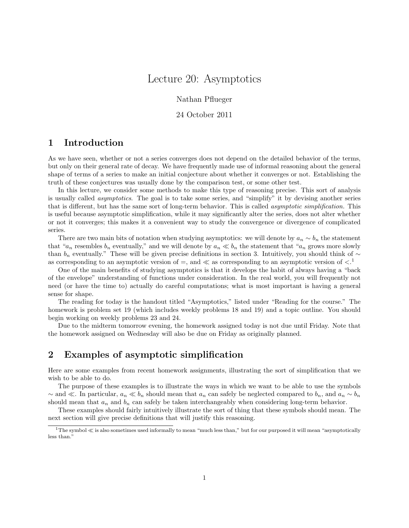# Lecture 20: Asymptotics

Nathan Pflueger

24 October 2011

### 1 Introduction

As we have seen, whether or not a series converges does not depend on the detailed behavior of the terms, but only on their general rate of decay. We have frequently made use of informal reasoning about the general shape of terms of a series to make an initial conjecture about whether it converges or not. Establishing the truth of these conjectures was usually done by the comparison test, or some other test.

In this lecture, we consider some methods to make this type of reasoning precise. This sort of analysis is usually called asymptotics. The goal is to take some series, and "simplify" it by devising another series that is different, but has the same sort of long-term behavior. This is called asymptotic simplification. This is useful because asymptotic simplification, while it may significantly alter the series, does not alter whether or not it converges; this makes it a convenient way to study the convergence or divergence of complicated series.

There are two main bits of notation when studying asymptotics: we will denote by  $a_n \sim b_n$  the statement that " $a_n$  resembles  $b_n$  eventually," and we will denote by  $a_n \ll b_n$  the statement that " $a_n$  grows more slowly than  $b_n$  eventually." These will be given precise definitions in section 3. Intuitively, you should think of ∼ as corresponding to an asymptotic version of  $=$ , and  $\ll$  as corresponding to an asymptotic version of  $\lt$ .<sup>1</sup>

One of the main benefits of studying asymptotics is that it develops the habit of always having a "back of the envelope" understanding of functions under consideration. In the real world, you will frequently not need (or have the time to) actually do careful computations; what is most important is having a general sense for shape.

The reading for today is the handout titled "Asymptotics," listed under "Reading for the course." The homework is problem set 19 (which includes weekly problems 18 and 19) and a topic outline. You should begin working on weekly problems 23 and 24.

Due to the midterm tomorrow evening, the homework assigned today is not due until Friday. Note that the homework assigned on Wednesday will also be due on Friday as originally planned.

### 2 Examples of asymptotic simplification

Here are some examples from recent homework assignments, illustrating the sort of simplification that we wish to be able to do.

The purpose of these examples is to illustrate the ways in which we want to be able to use the symbols ~ and  $\ll$ . In particular,  $a_n \ll b_n$  should mean that  $a_n$  can safely be neglected compared to  $b_n$ , and  $a_n \sim b_n$ should mean that  $a_n$  and  $b_n$  can safely be taken interchangeably when considering long-term behavior.

These examples should fairly intuitively illustrate the sort of thing that these symbols should mean. The next section will give precise definitions that will justify this reasoning.

 $1$ The symbol  $\ll$  is also sometimes used informally to mean "much less than," but for our purposed it will mean "asymptotically less than."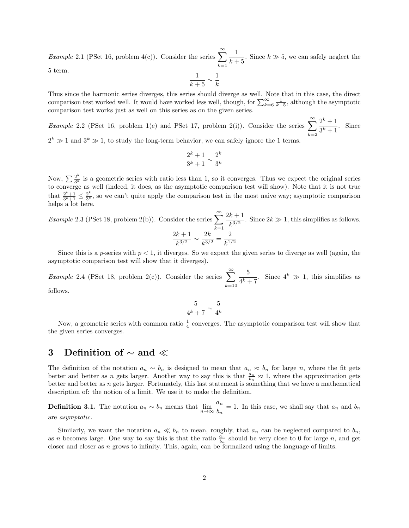Example 2.1 (PSet 16, problem 4(c)). Consider the series  $\sum_{n=1}^{\infty}$  $k=1$ 1  $\frac{1}{k+5}$ . Since  $k \gg 5$ , we can safely neglect the 5 term.

1  $\frac{1}{k+5} \sim \frac{1}{k}$ k

Thus since the harmonic series diverges, this series should diverge as well. Note that in this case, the direct comparison test worked well. It would have worked less well, though, for  $\sum_{k=6}^{\infty} \frac{1}{k-5}$ , although the asymptotic comparison test works just as well on this series as on the given series.

Example 2.2 (PSet 16, problem 1(e) and PSet 17, problem 2(i)). Consider the series  $\sum_{n=1}^{\infty}$  $k=2$  $2^k + 1$  $\frac{2}{3^k+1}$ . Since

 $2^k \gg 1$  and  $3^k \gg 1$ , to study the long-term behavior, we can safely ignore the 1 terms.

$$
\frac{2^k+1}{3^k+1} \sim \frac{2^k}{3^k}
$$

Now,  $\sum \frac{2^k}{3^k}$  $\frac{2^{n}}{3^{k}}$  is a geometric series with ratio less than 1, so it converges. Thus we expect the original series to converge as well (indeed, it does, as the asymptotic comparison test will show). Note that it is not true that  $\frac{2^k+1}{3^k+1} \leq \frac{2^k}{3^k}$  $\frac{2^{n}}{3^{k}}$ , so we can't quite apply the comparison test in the most naive way; asymptotic comparison helps a lot here.

Example 2.3 (PSet 18, problem 2(b)). Consider the series  $\sum_{n=1}^{\infty}$  $k=1$  $2k+1$  $\frac{k+1}{k^{3/2}}$ . Since  $2k \gg 1$ , this simplifies as follows.  $2k+1$  $\frac{k+1}{k^{3/2}} \sim \frac{2k}{k^{3/2}}$  $\frac{2k}{k^{3/2}} = \frac{2}{k^{1/2}}$  $k^{1/2}$ 

Since this is a p-series with  $p < 1$ , it diverges. So we expect the given series to diverge as well (again, the asymptotic comparison test will show that it diverges).

Example 2.4 (PSet 18, problem 2(c)). Consider the series  $\sum_{n=1}^{\infty}$  $k=10$ 5  $\frac{0}{4^k+7}$ . Since  $4^k \gg 1$ , this simplifies as

follows.

$$
\frac{5}{4^k+7} \sim \frac{5}{4^k}
$$

Now, a geometric series with common ratio  $\frac{1}{4}$  converges. The asymptotic comparison test will show that the given series converges.

## 3 Definition of ∼ and

The definition of the notation  $a_n \sim b_n$  is designed to mean that  $a_n \approx b_n$  for large n, where the fit gets better and better as *n* gets larger. Another way to say this is that  $\frac{a_n}{b_n} \approx 1$ , where the approximation gets better and better as n gets larger. Fortunately, this last statement is something that we have a mathematical description of: the notion of a limit. We use it to make the definition.

**Definition 3.1.** The notation  $a_n \sim b_n$  means that  $\lim_{n \to \infty} \frac{a_n}{b_n}$  $\frac{dn}{b_n} = 1$ . In this case, we shall say that  $a_n$  and  $b_n$ are asymptotic.

Similarly, we want the notation  $a_n \ll b_n$  to mean, roughly, that  $a_n$  can be neglected compared to  $b_n$ , as n becomes large. One way to say this is that the ratio  $\frac{a_n}{b_n}$  should be very close to 0 for large n, and get closer and closer as  $n$  grows to infinity. This, again, can be formalized using the language of limits.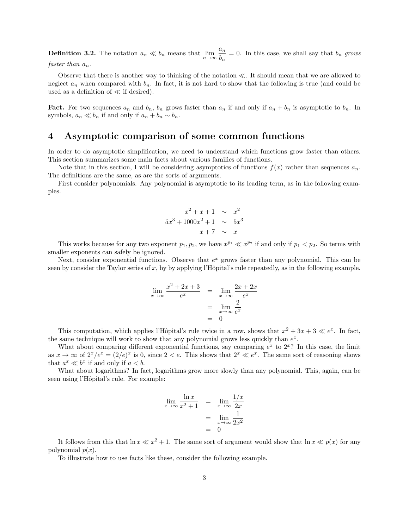**Definition 3.2.** The notation  $a_n \ll b_n$  means that  $\lim_{n\to\infty} \frac{a_n}{b_n}$  $\frac{dn}{b_n} = 0$ . In this case, we shall say that  $b_n$  grows faster than  $a_n$ .

#### Observe that there is another way to thinking of the notation  $\ll$ . It should mean that we are allowed to neglect  $a_n$  when compared with  $b_n$ . In fact, it is not hard to show that the following is true (and could be used as a definition of  $\ll$  if desired).

**Fact.** For two sequences  $a_n$  and  $b_n$ ,  $b_n$  grows faster than  $a_n$  if and only if  $a_n + b_n$  is asymptotic to  $b_n$ . In symbols,  $a_n \ll b_n$  if and only if  $a_n + b_n \sim b_n$ .

### 4 Asymptotic comparison of some common functions

In order to do asymptotic simplification, we need to understand which functions grow faster than others. This section summarizes some main facts about various families of functions.

Note that in this section, I will be considering asymptotics of functions  $f(x)$  rather than sequences  $a_n$ . The definitions are the same, as are the sorts of arguments.

First consider polynomials. Any polynomial is asymptotic to its leading term, as in the following examples.

$$
x^{2} + x + 1 \sim x^{2}
$$
  

$$
5x^{3} + 1000x^{2} + 1 \sim 5x^{3}
$$
  

$$
x + 7 \sim x
$$

This works because for any two exponent  $p_1, p_2$ , we have  $x^{p_1} \ll x^{p_2}$  if and only if  $p_1 < p_2$ . So terms with smaller exponents can safely be ignored.

Next, consider exponential functions. Observe that  $e^x$  grows faster than any polynomial. This can be seen by consider the Taylor series of x, by by applying l'Hôpital's rule repeatedly, as in the following example.

$$
\lim_{x \to \infty} \frac{x^2 + 2x + 3}{e^x} = \lim_{x \to \infty} \frac{2x + 2x}{e^x}
$$

$$
= \lim_{x \to \infty} \frac{2}{e^x}
$$

$$
= 0
$$

This computation, which applies l'Hôpital's rule twice in a row, shows that  $x^2 + 3x + 3 \ll e^x$ . In fact, the same technique will work to show that any polynomial grows less quickly than  $e^x$ .

What about comparing different exponential functions, say comparing  $e^x$  to  $2^x$ ? In this case, the limit as  $x \to \infty$  of  $2^x/e^x = (2/e)^x$  is 0, since  $2 < e$ . This shows that  $2^x \ll e^x$ . The same sort of reasoning shows that  $a^x \ll b^x$  if and only if  $a < b$ .

What about logarithms? In fact, logarithms grow more slowly than any polynomial. This, again, can be seen using l'Hôpital's rule. For example:

$$
\lim_{x \to \infty} \frac{\ln x}{x^2 + 1} = \lim_{x \to \infty} \frac{1/x}{2x}
$$

$$
= \lim_{x \to \infty} \frac{1}{2x^2}
$$

$$
= 0
$$

It follows from this that  $\ln x \ll x^2 + 1$ . The same sort of argument would show that  $\ln x \ll p(x)$  for any polynomial  $p(x)$ .

To illustrate how to use facts like these, consider the following example.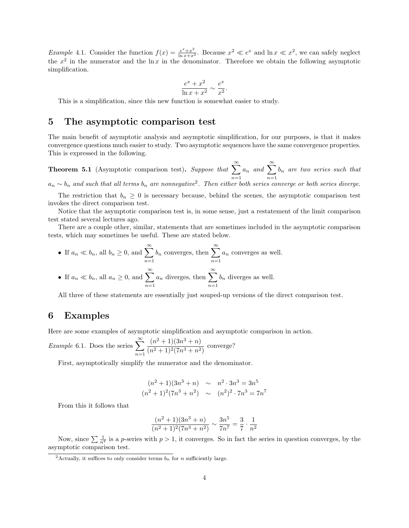*Example* 4.1. Consider the function  $f(x) = \frac{e^x + x^2}{\ln x + x^2}$ . Because  $x^2 \ll e^x$  and  $\ln x \ll x^2$ , we can safely neglect the  $x^2$  in the numerator and the ln x in the denominator. Therefore we obtain the following asymptotic simplification.

$$
\frac{e^x + x^2}{\ln x + x^2} \sim \frac{e^x}{x^2}.
$$

This is a simplification, since this new function is somewhat easier to study.

## 5 The asymptotic comparison test

The main benefit of asymptotic analysis and asymptotic simplification, for our purposes, is that it makes convergence questions much easier to study. Two asymptotic sequences have the same convergence properties. This is expressed in the following.

**Theorem 5.1** (Asymptotic comparison test). Suppose that  $\sum_{n=1}^{\infty}$  $n=1$  $a_n$  and  $\sum_{n=1}^{\infty}$  $n=1$  $b_n$  are two series such that

 $a_n \sim b_n$  and such that all terms  $b_n$  are nonnegative<sup>2</sup>. Then either both series converge or both series diverge.

The restriction that  $b_n \geq 0$  is necessary because, behind the scenes, the asymptotic comparison test invokes the direct comparison test.

Notice that the asymptotic comparison test is, in some sense, just a restatement of the limit comparison test stated several lectures ago.

There are a couple other, similar, statements that are sometimes included in the asymptotic comparison tests, which may sometimes be useful. These are stated below.

\n- If 
$$
a_n \ll b_n
$$
, all  $b_n \geq 0$ , and  $\sum_{n=1}^{\infty} b_n$  converges, then  $\sum_{n=1}^{\infty} a_n$  converges as well.
\n- If  $a_n \ll b_n$ , all  $a_n \geq 0$ , and  $\sum_{n=1}^{\infty} a_n$  diverges, then  $\sum_{n=1}^{\infty} b_n$  diverges as well.
\n

All three of these statements are essentially just souped-up versions of the direct comparison test.

### 6 Examples

Here are some examples of asymptotic simplification and asymptotic comparison in action.

*Example* 6.1. Does the series 
$$
\sum_{n=1}^{\infty} \frac{(n^2+1)(3n^3+n)}{(n^2+1)^2(7n^3+n^2)}
$$
 converge?

First, asymptotically simplify the numerator and the denominator.

$$
(n2 + 1)(3n3 + n) \sim n2 \cdot 3n3 = 3n5
$$
  

$$
(n2 + 1)2(7n3 + n2) \sim (n2)2 \cdot 7n3 = 7n7
$$

From this it follows that

$$
\frac{(n^2+1)(3n^3+n)}{(n^2+1)^2(7n^3+n^2)} \sim \frac{3n^5}{7n^7} = \frac{3}{7} \cdot \frac{1}{n^2}
$$

Now, since  $\sum \frac{1}{n^2}$  is a p-series with  $p > 1$ , it converges. So in fact the series in question converges, by the asymptotic comparison test.

<sup>&</sup>lt;sup>2</sup>Actually, it suffices to only consider terms  $b_n$  for n sufficiently large.